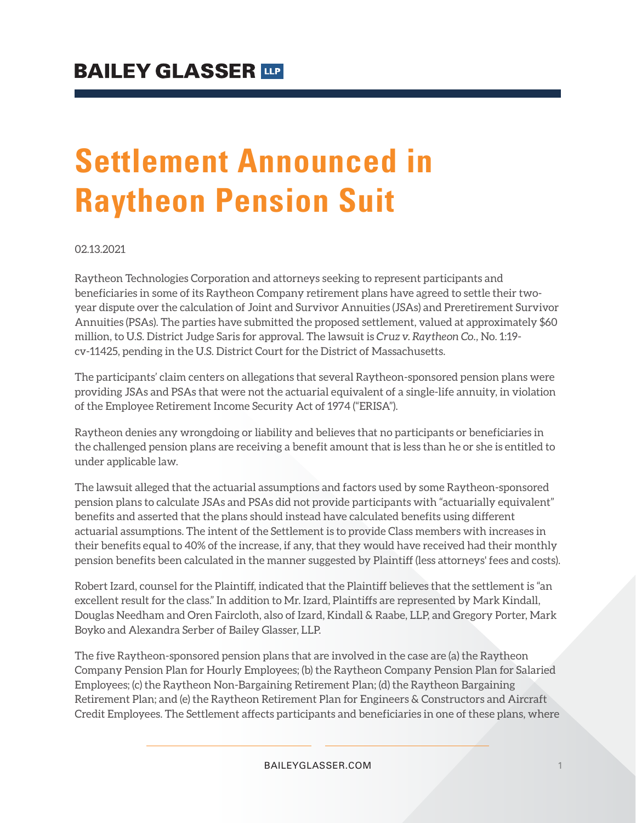# **Settlement Announced in Raytheon Pension Suit**

02.13.2021

Raytheon Technologies Corporation and attorneys seeking to represent participants and beneficiaries in some of its Raytheon Company retirement plans have agreed to settle their twoyear dispute over the calculation of Joint and Survivor Annuities (JSAs) and Preretirement Survivor Annuities (PSAs). The parties have submitted the proposed settlement, valued at approximately \$60 million, to U.S. District Judge Saris for approval. The lawsuit is *Cruz v. Raytheon Co.,* No. 1:19 cv-11425, pending in the U.S. District Court for the District of Massachusetts.

The participants' claim centers on allegations that several Raytheon-sponsored pension plans were providing JSAs and PSAs that were not the actuarial equivalent of a single-life annuity, in violation of the Employee Retirement Income Security Act of 1974 ("ERISA").

Raytheon denies any wrongdoing or liability and believes that no participants or beneficiaries in the challenged pension plans are receiving a benefit amount that is less than he or she is entitled to under applicable law.

The lawsuit alleged that the actuarial assumptions and factors used by some Raytheon-sponsored pension plans to calculate JSAs and PSAs did not provide participants with "actuarially equivalent" benefits and asserted that the plans should instead have calculated benefits using different actuarial assumptions. The intent of the Settlement is to provide Class members with increases in their benefits equal to 40% of the increase, if any, that they would have received had their monthly pension benefits been calculated in the manner suggested by Plaintiff (less attorneys' fees and costs).

Robert Izard, counsel for the Plaintiff, indicated that the Plaintiff believes that the settlement is "an excellent result for the class." In addition to Mr. Izard, Plaintiffs are represented by Mark Kindall, Douglas Needham and Oren Faircloth, also of Izard, Kindall & Raabe, LLP, and Gregory Porter, Mark Boyko and Alexandra Serber of Bailey Glasser, LLP.

The five Raytheon-sponsored pension plans that are involved in the case are (a) the Raytheon Company Pension Plan for Hourly Employees; (b) the Raytheon Company Pension Plan for Salaried Employees; (c) the Raytheon Non-Bargaining Retirement Plan; (d) the Raytheon Bargaining Retirement Plan; and (e) the Raytheon Retirement Plan for Engineers & Constructors and Aircraft Credit Employees. The Settlement affects participants and beneficiaries in one of these plans, where